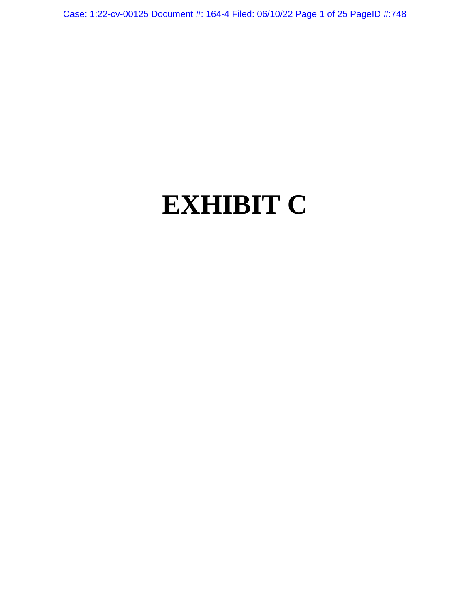Case: 1:22-cv-00125 Document #: 164-4 Filed: 06/10/22 Page 1 of 25 PageID #:748

# **EXHIBIT C**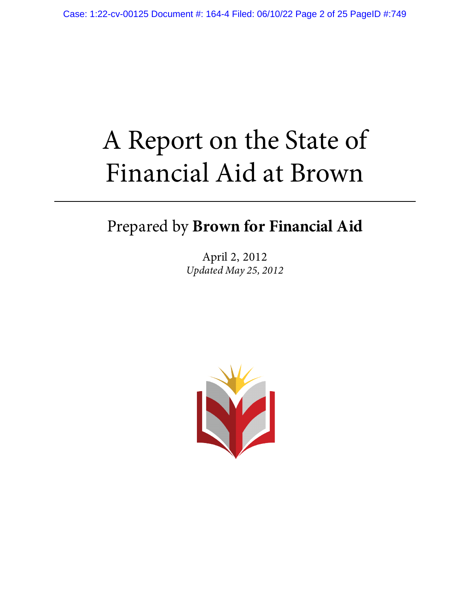# A Report on the State of Financial Aid at Brown

Prepared by **Brown for Financial Aid**

April 2, 2012 *Updated May 25, 2012*

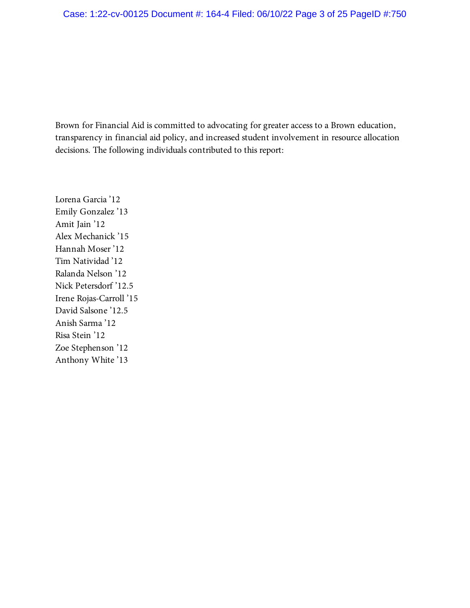Brown for Financial Aid is committed to advocating for greater access to a Brown education, transparency in financial aid policy, and increased student involvement in resource allocation decisions. The following individuals contributed to this report:

Lorena Garcia '12 Emily Gonzalez '13 Amit Jain '12 Alex Mechanick '15 Hannah Moser '12 Tim Natividad '12 Ralanda Nelson '12 Nick Petersdorf '12.5 Irene Rojas-Carroll '15 David Salsone '12.5 Anish Sarma '12 Risa Stein '12 Zoe Stephenson '12 Anthony White '13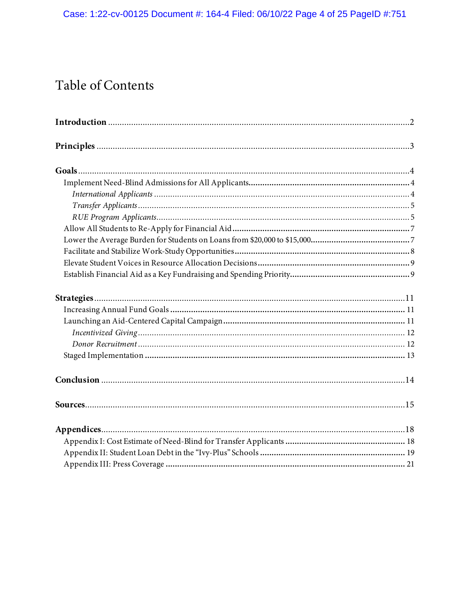# Table of Contents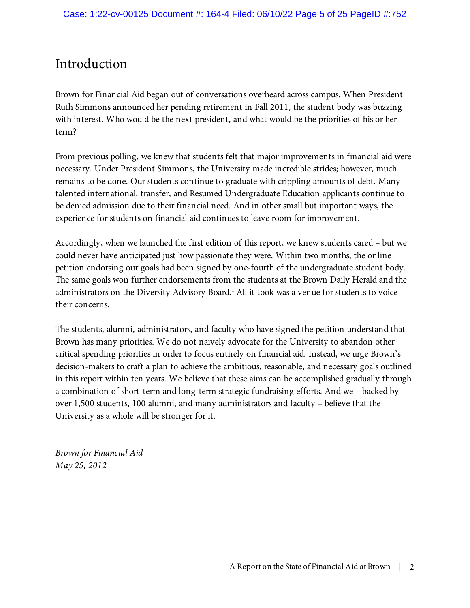# Introduction

Brown for Financial Aid began out of conversations overheard across campus. When President Ruth Simmons announced her pending retirement in Fall 2011, the student body was buzzing with interest. Who would be the next president, and what would be the priorities of his or her term?

From previous polling, we knew that students felt that major improvements in financial aid were necessary. Under President Simmons, the University made incredible strides; however, much remains to be done. Our students continue to graduate with crippling amounts of debt. Many talented international, transfer, and Resumed Undergraduate Education applicants continue to be denied admission due to their financial need. And in other small but important ways, the experience for students on financial aid continues to leave room for improvement.

Accordingly, when we launched the first edition of this report, we knew students cared – but we could never have anticipated just how passionate they were. Within two months, the online petition endorsing our goals had been signed by one-fourth of the undergraduate student body. The same goals won further endorsements from the students at the Brown Daily Herald and the administrators on the Diversity Advisory Board.<sup>1</sup> All it took was a venue for students to voice their concerns.

The students, alumni, administrators, and faculty who have signed the petition understand that Brown has many priorities. We do not naively advocate for the University to abandon other critical spending priorities in order to focus entirely on financial aid. Instead, we urge Brown's decision-makers to craft a plan to achieve the ambitious, reasonable, and necessary goals outlined in this report within ten years. We believe that these aims can be accomplished gradually through a combination of short-term and long-term strategic fundraising efforts. And we – backed by over 1,500 students, 100 alumni, and many administrators and faculty – believe that the University as a whole will be stronger for it.

*Brown for Financial Aid May 25, 2012*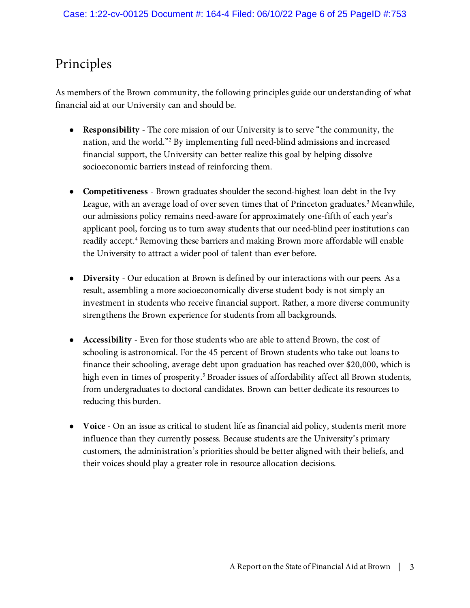# Principles

As members of the Brown community, the following principles guide our understanding of what financial aid at our University can and should be.

- **Responsibility**  The core mission of our University is to serve "the community, the nation, and the world."<sup>2</sup> By implementing full need-blind admissions and increased financial support, the University can better realize this goal by helping dissolve socioeconomic barriers instead of reinforcing them.
- **Competitiveness** Brown graduates shoulder the second-highest loan debt in the Ivy League, with an average load of over seven times that of Princeton graduates.<sup>3</sup> Meanwhile, our admissions policy remains need-aware for approximately one-fifth of each year's applicant pool, forcing us to turn away students that our need-blind peer institutions can readily accept.<sup>4</sup> Removing these barriers and making Brown more affordable will enable the University to attract a wider pool of talent than ever before.
- **Diversity**  Our education at Brown is defined by our interactions with our peers. As a result, assembling a more socioeconomically diverse student body is not simply an investment in students who receive financial support. Rather, a more diverse community strengthens the Brown experience for students from all backgrounds.
- **Accessibility** Even for those students who are able to attend Brown, the cost of schooling is astronomical. For the 45 percent of Brown students who take out loans to finance their schooling, average debt upon graduation has reached over \$20,000, which is high even in times of prosperity.<sup>5</sup> Broader issues of affordability affect all Brown students, from undergraduates to doctoral candidates. Brown can better dedicate its resources to reducing this burden.
- **Voice**  On an issue as critical to student life as financial aid policy, students merit more influence than they currently possess. Because students are the University's primary customers, the administration's priorities should be better aligned with their beliefs, and their voices should play a greater role in resource allocation decisions.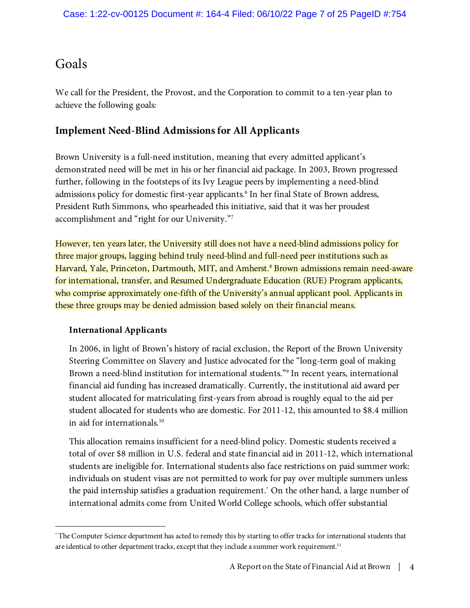# Goals

We call for the President, the Provost, and the Corporation to commit to a ten-year plan to achieve the following goals:

# **Implement Need-Blind Admissions for All Applicants**

Brown University is a full-need institution, meaning that every admitted applicant's demonstrated need will be met in his or her financial aid package. In 2003, Brown progressed further, following in the footsteps of its Ivy League peers by implementing a need-blind admissions policy for domestic first-year applicants. 6 In her final State of Brown address, President Ruth Simmons, who spearheaded this initiative, said that it was her proudest accomplishment and "right for our University."<sup>7</sup>

However, ten years later, the University still does not have a need-blind admissions policy for three major groups, lagging behind truly need-blind and full-need peer institutions such as Harvard, Yale, Princeton, Dartmouth, MIT, and Amherst.<sup>8</sup> Brown admissions remain need-aware for international, transfer, and Resumed Undergraduate Education (RUE) Program applicants, who comprise approximately one-fifth of the University's annual applicant pool. Applicants in these three groups may be denied admission based solely on their financial means.

## **International Applicants**

 $\overline{a}$ 

In 2006, in light of Brown's history of racial exclusion, the Report of the Brown University Steering Committee on Slavery and Justice advocated for the "long-term goal of making Brown a need-blind institution for international students."<sup>9</sup> In recent years, international financial aid funding has increased dramatically. Currently, the institutional aid award per student allocated for matriculating first-years from abroad is roughly equal to the aid per student allocated for students who are domestic. For 2011-12, this amounted to \$8.4 million in aid for internationals.<sup>10</sup>

This allocation remains insufficient for a need-blind policy. Domestic students received a total of over \$8 million in U.S. federal and state financial aid in 2011-12, which international students are ineligible for. International students also face restrictions on paid summer work: individuals on student visas are not permitted to work for pay over multiple summers unless the paid internship satisfies a graduation requirement.\* On the other hand, a large number of international admits come from United World College schools, which offer substantial

<sup>\*</sup> The Computer Science department has acted to remedy this by starting to offer tracks for international students that are identical to other department tracks, except that they include a summer work requirement.<sup>11</sup>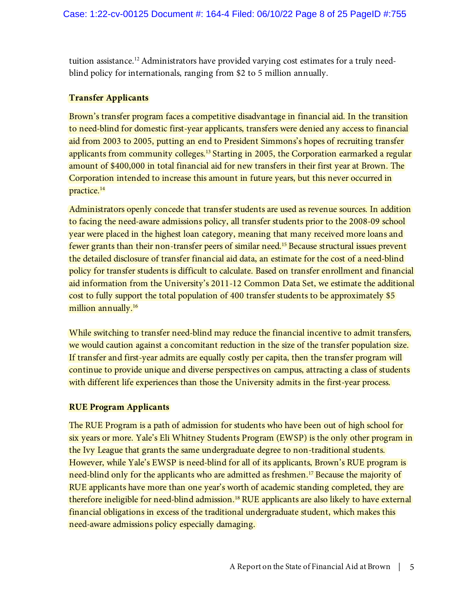tuition assistance.<sup>12</sup> Administrators have provided varying cost estimates for a truly needblind policy for internationals, ranging from \$2 to 5 million annually.

#### **Transfer Applicants**

Brown's transfer program faces a competitive disadvantage in financial aid. In the transition to need-blind for domestic first-year applicants, transfers were denied any access to financial aid from 2003 to 2005, putting an end to President Simmons's hopes of recruiting transfer applicants from community colleges.<sup>13</sup> Starting in 2005, the Corporation earmarked a regular amount of \$400,000 in total financial aid for new transfers in their first year at Brown. The Corporation intended to increase this amount in future years, but this never occurred in practice.<sup>14</sup>

Administrators openly concede that transfer students are used as revenue sources. In addition to facing the need-aware admissions policy, all transfer students prior to the 2008-09 school year were placed in the highest loan category, meaning that many received more loans and fewer grants than their non-transfer peers of similar need.<sup>15</sup> Because structural issues prevent the detailed disclosure of transfer financial aid data, an estimate for the cost of a need-blind policy for transfer students is difficult to calculate. Based on transfer enrollment and financial aid information from the University's 2011-12 Common Data Set, we estimate the additional cost to fully support the total population of 400 transfer students to be approximately \$5 million annually.<sup>16</sup>

While switching to transfer need-blind may reduce the financial incentive to admit transfers, we would caution against a concomitant reduction in the size of the transfer population size. If transfer and first-year admits are equally costly per capita, then the transfer program will continue to provide unique and diverse perspectives on campus, attracting a class of students with different life experiences than those the University admits in the first-year process.

#### **RUE Program Applicants**

The RUE Program is a path of admission for students who have been out of high school for six years or more. Yale's Eli Whitney Students Program (EWSP) is the only other program in the Ivy League that grants the same undergraduate degree to non-traditional students. However, while Yale's EWSP is need-blind for all of its applicants, Brown's RUE program is need-blind only for the applicants who are admitted as freshmen.<sup>17</sup> Because the majority of RUE applicants have more than one year's worth of academic standing completed, they are therefore ineligible for need-blind admission.<sup>18</sup> RUE applicants are also likely to have external financial obligations in excess of the traditional undergraduate student, which makes this need-aware admissions policy especially damaging.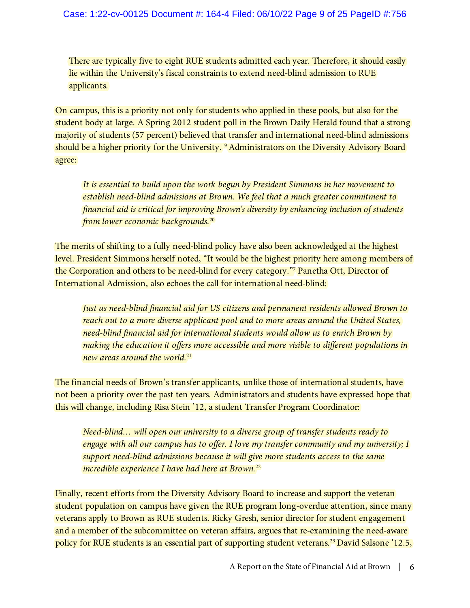There are typically five to eight RUE students admitted each year. Therefore, it should easily lie within the University's fiscal constraints to extend need-blind admission to RUE applicants.

On campus, this is a priority not only for students who applied in these pools, but also for the student body at large. A Spring 2012 student poll in the Brown Daily Herald found that a strong majority of students (57 percent) believed that transfer and international need-blind admissions should be a higher priority for the University.<sup>19</sup> Administrators on the Diversity Advisory Board agree:

*It is essential to build upon the work begun by President Simmons in her movement to establish need-blind admissions at Brown. We feel that a much greater commitment to financial aid is critical for improving Brown's diversity by enhancing inclusion of students from lower economic backgrounds.*<sup>20</sup>

The merits of shifting to a fully need-blind policy have also been acknowledged at the highest level. President Simmons herself noted, "It would be the highest priority here among members of the Corporation and others to be need-blind for every category."<sup>7</sup> Panetha Ott, Director of International Admission, also echoes the call for international need-blind:

*Just as need-blind financial aid for US citizens and permanent residents allowed Brown to reach out to a more diverse applicant pool and to more areas around the United States, need-blind financial aid for international students would allow us to enrich Brown by making the education it offers more accessible and more visible to different populations in new areas around the world.*<sup>21</sup>

The financial needs of Brown's transfer applicants, unlike those of international students, have not been a priority over the past ten years. Administrators and students have expressed hope that this will change, including Risa Stein '12, a student Transfer Program Coordinator:

*Need-blind… will open our university to a diverse group of transfer students ready to engage with all our campus has to offer. I love my transfer community and my university; I support need-blind admissions because it will give more students access to the same incredible experience I have had here at Brown.*<sup>22</sup>

Finally, recent efforts from the Diversity Advisory Board to increase and support the veteran student population on campus have given the RUE program long-overdue attention, since many veterans apply to Brown as RUE students. Ricky Gresh, senior director for student engagement and a member of the subcommittee on veteran affairs, argues that re-examining the need-aware policy for RUE students is an essential part of supporting student veterans.<sup>23</sup> David Salsone '12.5,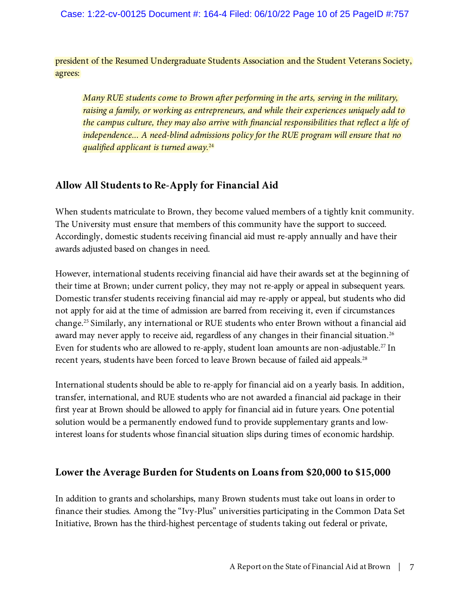president of the Resumed Undergraduate Students Association and the Student Veterans Society, agrees:

*Many RUE students come to Brown after performing in the arts, serving in the military, raising a family, or working as entrepreneurs, and while their experiences uniquely add to the campus culture, they may also arrive with financial responsibilities that reflect a life of independence... A need-blind admissions policy for the RUE program will ensure that no qualified applicant is turned away.*<sup>24</sup>

# **Allow All Students to Re-Apply for Financial Aid**

When students matriculate to Brown, they become valued members of a tightly knit community. The University must ensure that members of this community have the support to succeed. Accordingly, domestic students receiving financial aid must re-apply annually and have their awards adjusted based on changes in need.

However, international students receiving financial aid have their awards set at the beginning of their time at Brown; under current policy, they may not re-apply or appeal in subsequent years. Domestic transfer students receiving financial aid may re-apply or appeal, but students who did not apply for aid at the time of admission are barred from receiving it, even if circumstances change.<sup>25</sup> Similarly, any international or RUE students who enter Brown without a financial aid award may never apply to receive aid, regardless of any changes in their financial situation.<sup>26</sup> Even for students who are allowed to re-apply, student loan amounts are non-adjustable.<sup>27</sup> In recent years, students have been forced to leave Brown because of failed aid appeals.<sup>28</sup>

International students should be able to re-apply for financial aid on a yearly basis. In addition, transfer, international, and RUE students who are not awarded a financial aid package in their first year at Brown should be allowed to apply for financial aid in future years. One potential solution would be a permanently endowed fund to provide supplementary grants and lowinterest loans for students whose financial situation slips during times of economic hardship.

## **Lower the Average Burden for Students on Loans from \$20,000 to \$15,000**

In addition to grants and scholarships, many Brown students must take out loans in order to finance their studies. Among the "Ivy-Plus" universities participating in the Common Data Set Initiative, Brown has the third-highest percentage of students taking out federal or private,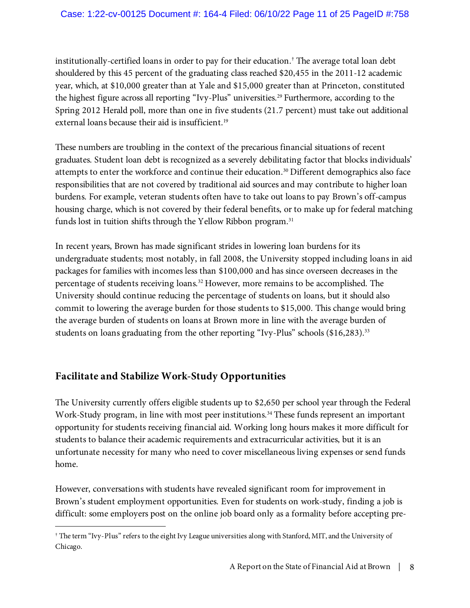#### Case: 1:22-cv-00125 Document #: 164-4 Filed: 06/10/22 Page 11 of 25 PageID #:758

institutionally-certified loans in order to pay for their education.† The average total loan debt shouldered by this 45 percent of the graduating class reached \$20,455 in the 2011-12 academic year, which, at \$10,000 greater than at Yale and \$15,000 greater than at Princeton, constituted the highest figure across all reporting "Ivy-Plus" universities.<sup>29</sup> Furthermore, according to the Spring 2012 Herald poll, more than one in five students (21.7 percent) must take out additional external loans because their aid is insufficient.<sup>19</sup>

These numbers are troubling in the context of the precarious financial situations of recent graduates. Student loan debt is recognized as a severely debilitating factor that blocks individuals' attempts to enter the workforce and continue their education.<sup>30</sup> Different demographics also face responsibilities that are not covered by traditional aid sources and may contribute to higher loan burdens. For example, veteran students often have to take out loans to pay Brown's off-campus housing charge, which is not covered by their federal benefits, or to make up for federal matching funds lost in tuition shifts through the Yellow Ribbon program.<sup>31</sup>

In recent years, Brown has made significant strides in lowering loan burdens for its undergraduate students; most notably, in fall 2008, the University stopped including loans in aid packages for families with incomes less than \$100,000 and has since overseen decreases in the percentage of students receiving loans.<sup>32</sup> However, more remains to be accomplished. The University should continue reducing the percentage of students on loans, but it should also commit to lowering the average burden for those students to \$15,000. This change would bring the average burden of students on loans at Brown more in line with the average burden of students on loans graduating from the other reporting "Ivy-Plus" schools (\$16,283).<sup>33</sup>

# **Facilitate and Stabilize Work-Study Opportunities**

 $\overline{a}$ 

The University currently offers eligible students up to \$2,650 per school year through the Federal Work-Study program, in line with most peer institutions.<sup>34</sup> These funds represent an important opportunity for students receiving financial aid. Working long hours makes it more difficult for students to balance their academic requirements and extracurricular activities, but it is an unfortunate necessity for many who need to cover miscellaneous living expenses or send funds home.

However, conversations with students have revealed significant room for improvement in Brown's student employment opportunities. Even for students on work-study, finding a job is difficult: some employers post on the online job board only as a formality before accepting pre-

<sup>†</sup> The term "Ivy-Plus" refers to the eight Ivy League universities along with Stanford, MIT, and the University of Chicago.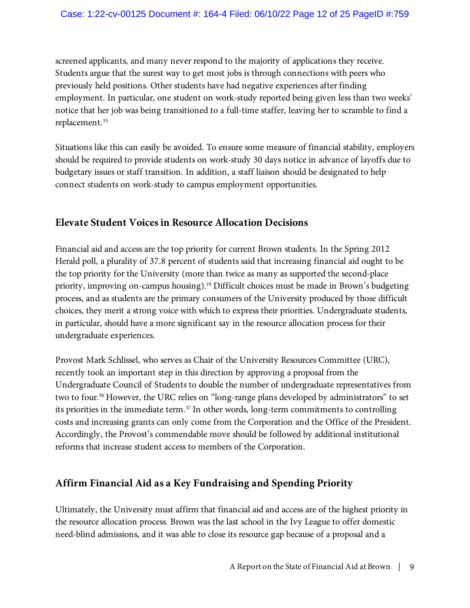#### Case: 1:22-cv-00125 Document #: 164-4 Filed: 06/10/22 Page 12 of 25 PageID #:759

screened applicants, and many never respond to the majority of applications they receive. Students argue that the surest way to get most jobs is through connections with peers who previously held positions. Other students have had negative experiences after finding employment. In particular, one student on work-study reported being given less than two weeks' notice that her job was being transitioned to a full-time staffer, leaving her to scramble to find a replacement.<sup>35</sup>

Situations like this can easily be avoided. To ensure some measure of financial stability, employers should be required to provide students on work-study 30 days notice in advance of layoffs due to budgetary issues or staff transition. In addition, a staff liaison should be designated to help connect students on work-study to campus employment opportunities.

## **Elevate Student Voices in Resource Allocation Decisions**

Financial aid and access are the top priority for current Brown students. In the Spring 2012 Herald poll, a plurality of 37.8 percent of students said that increasing financial aid ought to be the top priority for the University (more than twice as many as supported the second-place priority, improving on-campus housing).<sup>19</sup> Difficult choices must be made in Brown's budgeting process, and as students are the primary consumers of the University produced by those difficult choices, they merit a strong voice with which to express their priorities. Undergraduate students, in particular, should have a more significant say in the resource allocation process for their undergraduate experiences.

Provost Mark Schlissel, who serves as Chair of the University Resources Committee (URC), recently took an important step in this direction by approving a proposal from the Undergraduate Council of Students to double the number of undergraduate representatives from two to four.<sup>36</sup> However, the URC relies on "long-range plans developed by administrators" to set its priorities in the immediate term. <sup>37</sup> In other words, long-term commitments to controlling costs and increasing grants can only come from the Corporation and the Office of the President. Accordingly, the Provost's commendable move should be followed by additional institutional reforms that increase student access to members of the Corporation.

## **Affirm Financial Aid as a Key Fundraising and Spending Priority**

Ultimately, the University must affirm that financial aid and access are of the highest priority in the resource allocation process. Brown was the last school in the Ivy League to offer domestic need-blind admissions, and it was able to close its resource gap because of a proposal and a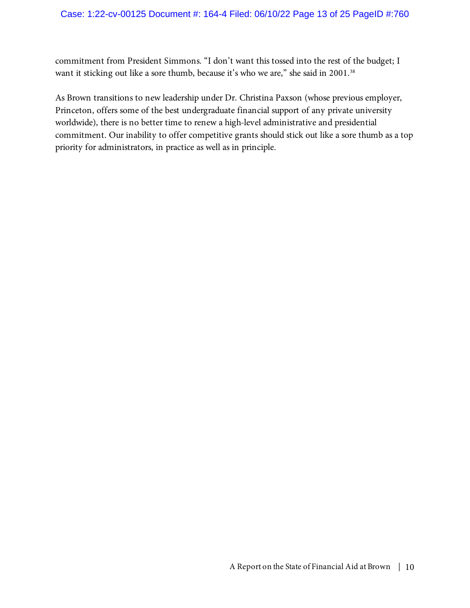commitment from President Simmons. "I don't want this tossed into the rest of the budget; I want it sticking out like a sore thumb, because it's who we are," she said in 2001.<sup>38</sup>

As Brown transitions to new leadership under Dr. Christina Paxson (whose previous employer, Princeton, offers some of the best undergraduate financial support of any private university worldwide), there is no better time to renew a high-level administrative and presidential commitment. Our inability to offer competitive grants should stick out like a sore thumb as a top priority for administrators, in practice as well as in principle.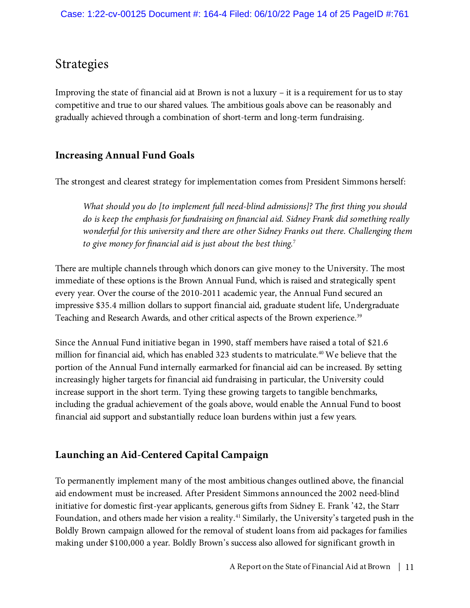# Strategies

Improving the state of financial aid at Brown is not a luxury – it is a requirement for us to stay competitive and true to our shared values. The ambitious goals above can be reasonably and gradually achieved through a combination of short-term and long-term fundraising.

# **Increasing Annual Fund Goals**

The strongest and clearest strategy for implementation comes from President Simmons herself:

*What should you do [to implement full need-blind admissions]? The first thing you should do is keep the emphasis for fundraising on financial aid. Sidney Frank did something really wonderful for this university and there are other Sidney Franks out there. Challenging them to give money for financial aid is just about the best thing.*<sup>7</sup>

There are multiple channels through which donors can give money to the University. The most immediate of these options is the Brown Annual Fund, which is raised and strategically spent every year. Over the course of the 2010-2011 academic year, the Annual Fund secured an impressive \$35.4 million dollars to support financial aid, graduate student life, Undergraduate Teaching and Research Awards, and other critical aspects of the Brown experience. 39

Since the Annual Fund initiative began in 1990, staff members have raised a total of \$21.6 million for financial aid, which has enabled 323 students to matriculate. <sup>40</sup> We believe that the portion of the Annual Fund internally earmarked for financial aid can be increased. By setting increasingly higher targets for financial aid fundraising in particular, the University could increase support in the short term. Tying these growing targets to tangible benchmarks, including the gradual achievement of the goals above, would enable the Annual Fund to boost financial aid support and substantially reduce loan burdens within just a few years.

# **Launching an Aid-Centered Capital Campaign**

To permanently implement many of the most ambitious changes outlined above, the financial aid endowment must be increased. After President Simmons announced the 2002 need-blind initiative for domestic first-year applicants, generous gifts from Sidney E. Frank '42, the Starr Foundation, and others made her vision a reality.<sup>41</sup> Similarly, the University's targeted push in the Boldly Brown campaign allowed for the removal of student loans from aid packages for families making under \$100,000 a year. Boldly Brown's success also allowed for significant growth in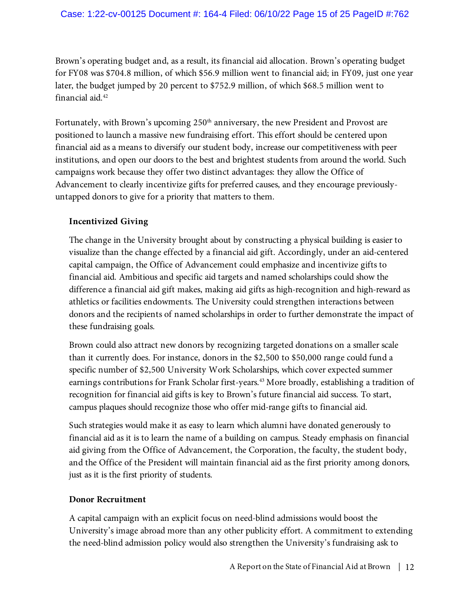#### Case: 1:22-cv-00125 Document #: 164-4 Filed: 06/10/22 Page 15 of 25 PageID #:762

Brown's operating budget and, as a result, its financial aid allocation. Brown's operating budget for FY08 was \$704.8 million, of which \$56.9 million went to financial aid; in FY09, just one year later, the budget jumped by 20 percent to \$752.9 million, of which \$68.5 million went to financial aid.<sup>42</sup>

Fortunately, with Brown's upcoming  $250<sup>th</sup>$  anniversary, the new President and Provost are positioned to launch a massive new fundraising effort. This effort should be centered upon financial aid as a means to diversify our student body, increase our competitiveness with peer institutions, and open our doors to the best and brightest students from around the world. Such campaigns work because they offer two distinct advantages: they allow the Office of Advancement to clearly incentivize gifts for preferred causes, and they encourage previouslyuntapped donors to give for a priority that matters to them.

#### **Incentivized Giving**

The change in the University brought about by constructing a physical building is easier to visualize than the change effected by a financial aid gift. Accordingly, under an aid-centered capital campaign, the Office of Advancement could emphasize and incentivize gifts to financial aid. Ambitious and specific aid targets and named scholarships could show the difference a financial aid gift makes, making aid gifts as high-recognition and high-reward as athletics or facilities endowments. The University could strengthen interactions between donors and the recipients of named scholarships in order to further demonstrate the impact of these fundraising goals.

Brown could also attract new donors by recognizing targeted donations on a smaller scale than it currently does. For instance, donors in the \$2,500 to \$50,000 range could fund a specific number of \$2,500 University Work Scholarships, which cover expected summer earnings contributions for Frank Scholar first-years.<sup>43</sup> More broadly, establishing a tradition of recognition for financial aid gifts is key to Brown's future financial aid success. To start, campus plaques should recognize those who offer mid-range gifts to financial aid.

Such strategies would make it as easy to learn which alumni have donated generously to financial aid as it is to learn the name of a building on campus. Steady emphasis on financial aid giving from the Office of Advancement, the Corporation, the faculty, the student body, and the Office of the President will maintain financial aid as the first priority among donors, just as it is the first priority of students.

#### **Donor Recruitment**

A capital campaign with an explicit focus on need-blind admissions would boost the University's image abroad more than any other publicity effort. A commitment to extending the need-blind admission policy would also strengthen the University's fundraising ask to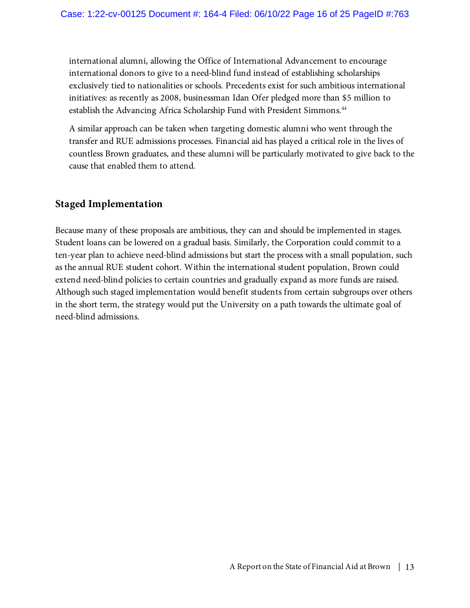international alumni, allowing the Office of International Advancement to encourage international donors to give to a need-blind fund instead of establishing scholarships exclusively tied to nationalities or schools. Precedents exist for such ambitious international initiatives: as recently as 2008, businessman Idan Ofer pledged more than \$5 million to establish the Advancing Africa Scholarship Fund with President Simmons.<sup>44</sup>

A similar approach can be taken when targeting domestic alumni who went through the transfer and RUE admissions processes. Financial aid has played a critical role in the lives of countless Brown graduates, and these alumni will be particularly motivated to give back to the cause that enabled them to attend.

## **Staged Implementation**

Because many of these proposals are ambitious, they can and should be implemented in stages. Student loans can be lowered on a gradual basis. Similarly, the Corporation could commit to a ten-year plan to achieve need-blind admissions but start the process with a small population, such as the annual RUE student cohort. Within the international student population, Brown could extend need-blind policies to certain countries and gradually expand as more funds are raised. Although such staged implementation would benefit students from certain subgroups over others in the short term, the strategy would put the University on a path towards the ultimate goal of need-blind admissions.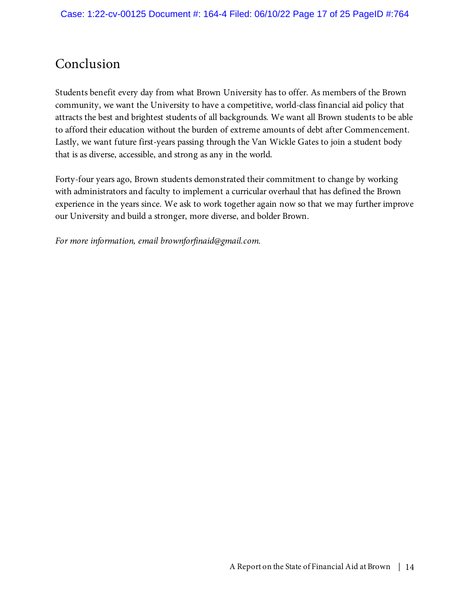# Conclusion

Students benefit every day from what Brown University has to offer. As members of the Brown community, we want the University to have a competitive, world-class financial aid policy that attracts the best and brightest students of all backgrounds. We want all Brown students to be able to afford their education without the burden of extreme amounts of debt after Commencement. Lastly, we want future first-years passing through the Van Wickle Gates to join a student body that is as diverse, accessible, and strong as any in the world.

Forty-four years ago, Brown students demonstrated their commitment to change by working with administrators and faculty to implement a curricular overhaul that has defined the Brown experience in the years since. We ask to work together again now so that we may further improve our University and build a stronger, more diverse, and bolder Brown.

*For more information, email brownforfinaid@gmail.com.*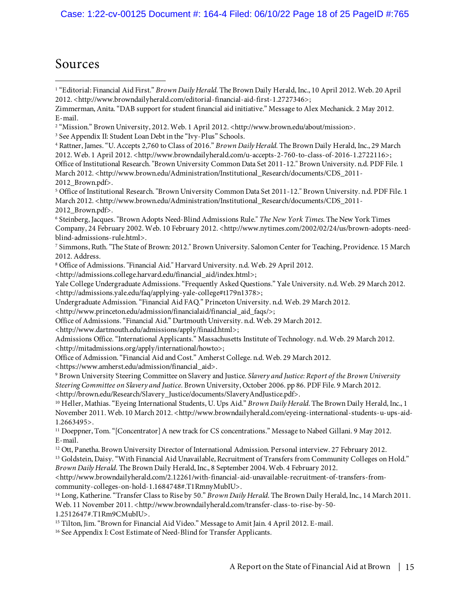Case: 1:22-cv-00125 Document #: 164-4 Filed: 06/10/22 Page 18 of 25 PageID #:765

# Sources

 $\overline{a}$ 

<sup>5</sup>Office of Institutional Research. "Brown University Common Data Set 2011-12." Brown University. n.d. PDF File. 1 March 2012. <http://www.brown.edu/Administration/Institutional\_Research/documents/CDS\_2011-2012\_Brown.pdf>.

<sup>6</sup> Steinberg, Jacques. "Brown Adopts Need-Blind Admissions Rule." *The New York Times*. The New York Times Company, 24 February 2002. Web. 10 February 2012. <http://www.nytimes.com/2002/02/24/us/brown-adopts-needblind-admissions-rule.html>.

<sup>7</sup> Simmons, Ruth. "The State of Brown: 2012." Brown University. Salomon Center for Teaching, Providence. 15 March 2012. Address.

<sup>8</sup>Office of Admissions. "Financial Aid." Harvard University. n.d. Web. 29 April 2012.

<http://admissions.college.harvard.edu/financial\_aid/index.html>;

Yale College Undergraduate Admissions. "Frequently Asked Questions." Yale University. n.d. Web. 29 March 2012. <http://admissions.yale.edu/faq/applying-yale-college#t179n1378>;

Undergraduate Admission. "Financial Aid FAQ." Princeton University. n.d. Web. 29 March 2012.

<http://www.princeton.edu/admission/financialaid/financial\_aid\_faqs/>;

Office of Admissions. "Financial Aid." Dartmouth University. n.d. Web. 29 March 2012.

<http://www.dartmouth.edu/admissions/apply/finaid.html>;

Admissions Office. "International Applicants." Massachusetts Institute of Technology. n.d. Web. 29 March 2012. <http://mitadmissions.org/apply/international/howto>;

Office of Admission. "Financial Aid and Cost." Amherst College. n.d. Web. 29 March 2012.

<https://www.amherst.edu/admission/financial\_aid>.

<sup>9</sup> Brown University Steering Committee on Slavery and Justice. *Slavery and Justice: Report of the Brown University Steering Committee on Slavery and Justice.* Brown University, October 2006. pp 86. PDF File. 9 March 2012. <http://brown.edu/Research/Slavery\_Justice/documents/SlaveryAndJustice.pdf>.

<sup>10</sup> Heller, Mathias. "Eyeing International Students, U. Ups Aid." *Brown Daily Herald*. The Brown Daily Herald, Inc., 1 November 2011. Web. 10 March 2012. <http://www.browndailyherald.com/eyeing-international-students-u-ups-aid-1.2663495>.

<sup>11</sup> Doeppner, Tom. "[Concentrator] A new track for CS concentrations." Message to Nabeel Gillani. 9 May 2012. E-mail.

<sup>12</sup> Ott, Panetha. Brown University Director of International Admission. Personal interview. 27 February 2012.

<sup>13</sup> Goldstein, Daisy. "With Financial Aid Unavailable, Recruitment of Transfers from Community Colleges on Hold." *Brown Daily Herald*. The Brown Daily Herald, Inc., 8 September 2004. Web. 4 February 2012.

 $<$ http://www.browndailyherald.com/2.12261/with-financial-aid-unavailable-recruitment-of-transfers-fromcommunity-colleges-on-hold-1.1684748#.T1RmnyMubIU>.

<sup>14</sup> Long, Katherine. "Transfer Class to Rise by 50." *Brown Daily Herald*. The Brown Daily Herald, Inc., 14 March 2011. Web. 11 November 2011. <http://www.browndailyherald.com/transfer-class-to-rise-by-50-

1.2512647#.T1Rm9CMubIU>.

<sup>15</sup> Tilton, Jim. "Brown for Financial Aid Video." Message to Amit Jain. 4 April 2012. E-mail.

<sup>16</sup> See Appendix I: Cost Estimate of Need-Blind for Transfer Applicants.

<sup>&</sup>lt;sup>1</sup> "Editorial: Financial Aid First." *Brown Daily Herald.* The Brown Daily Herald, Inc., 10 April 2012. Web. 20 April 2012. <http://www.browndailyherald.com/editorial-financial-aid-first-1.2727346>;

Zimmerman, Anita. "DAB support for student financial aid initiative." Message to Alex Mechanick. 2 May 2012. E-mail.

<sup>2</sup> "Mission." Brown University, 2012. Web. 1 April 2012. <http://www.brown.edu/about/mission>.

<sup>3</sup> See Appendix II: Student Loan Debt in the "Ivy-Plus" Schools.

<sup>4</sup> Rattner, James. "U. Accepts 2,760 to Class of 2016." *Brown Daily Herald.* The Brown Daily Herald, Inc., 29 March 2012. Web. 1 April 2012. <http://www.browndailyherald.com/u-accepts-2-760-to-class-of-2016-1.2722116>; Office of Institutional Research. "Brown University Common Data Set 2011-12." Brown University. n.d. PDF File. 1 March 2012. <http://www.brown.edu/Administration/Institutional\_Research/documents/CDS\_2011-2012\_Brown.pdf>.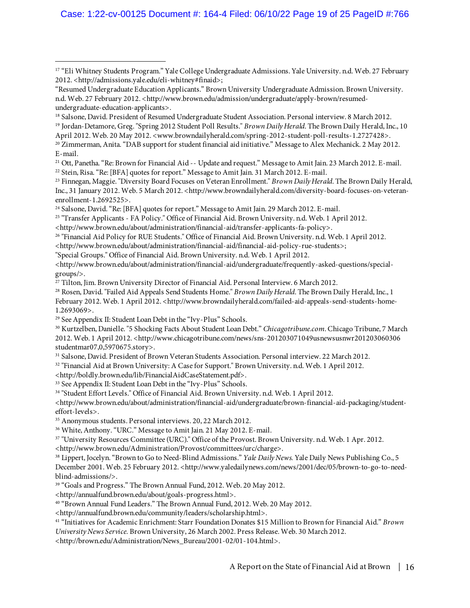#### Case: 1:22-cv-00125 Document #: 164-4 Filed: 06/10/22 Page 19 of 25 PageID #:766

<sup>24</sup> Salsone, David. "Re: [BFA] quotes for report." Message to Amit Jain. 29 March 2012. E-mail.

<sup>25</sup> "Transfer Applicants - FA Policy." Office of Financial Aid. Brown University. n.d. Web. 1 April 2012.

<http://www.brown.edu/about/administration/financial-aid/financial-aid-policy-rue-students>;

"Special Groups." Office of Financial Aid. Brown University. n.d. Web. 1 April 2012.

<http://www.brown.edu/about/administration/financial-aid/undergraduate/frequently-asked-questions/specialgroups/>.

<sup>27</sup> Tilton, Jim. Brown University Director of Financial Aid. Personal Interview. 6 March 2012.

<sup>28</sup> Rosen, David. "Failed Aid Appeals Send Students Home." *Brown Daily Herald*. The Brown Daily Herald, Inc., 1 February 2012. Web. 1 April 2012. <http://www.browndailyherald.com/failed-aid-appeals-send-students-home-1.2693069>.

<sup>29</sup> See Appendix II: Student Loan Debt in the "Ivy-Plus" Schools.

<sup>30</sup> Kurtzelben, Danielle. "5 Shocking Facts About Student Loan Debt." *Chicagotribune.com*. Chicago Tribune, 7 March 2012. Web. 1 April 2012. <http://www.chicagotribune.com/news/sns-201203071049usnewsusnwr201203060306 studentmar07,0,5970675.story>.

<sup>31</sup> Salsone, David. President of Brown Veteran Students Association. Personal interview. 22 March 2012.

<sup>32</sup> "Financial Aid at Brown University: A Case for Support." Brown University. n.d. Web. 1 April 2012.

<http://boldly.brown.edu/lib/FinancialAidCaseStatement.pdf>.

<sup>33</sup> See Appendix II: Student Loan Debt in the "Ivy-Plus" Schools.

<sup>34</sup> "Student Effort Levels." Office of Financial Aid. Brown University. n.d. Web. 1 April 2012.

<http://www.brown.edu/about/administration/financial-aid/undergraduate/brown-financial-aid-packaging/studenteffort-levels>.

<sup>35</sup> Anonymous students. Personal interviews. 20, 22 March 2012.

<sup>36</sup> White, Anthony. "URC." Message to Amit Jain. 21 May 2012. E-mail.

<sup>37</sup> "University Resources Committee (URC)." Office of the Provost. Brown University. n.d. Web. 1 Apr. 2012.

<http://www.brown.edu/Administration/Provost/committees/urc/charge>.

<sup>38</sup> Lippert, Jocelyn. "Brown to Go to Need-Blind Admissions." *Yale Daily News.* Yale Daily News Publishing Co., 5

December 2001. Web. 25 February 2012. <http://www.yaledailynews.com/news/2001/dec/05/brown-to-go-to-needblind-admissions/>.

<sup>39</sup> "Goals and Progress." The Brown Annual Fund, 2012. Web. 20 May 2012.

<http://annualfund.brown.edu/about/goals-progress.html>.

<sup>40</sup> "Brown Annual Fund Leaders." The Brown Annual Fund, 2012. Web. 20 May 2012.

<http://annualfund.brown.edu/community/leaders/scholarship.html>.

<sup>41</sup> "Initiatives for Academic Enrichment: Starr Foundation Donates \$15 Million to Brown for Financial Aid." *Brown University News Service.* Brown University, 26 March 2002. Press Release. Web. 30 March 2012.

<http://brown.edu/Administration/News\_Bureau/2001-02/01-104.html>.

<sup>17</sup> "Eli Whitney Students Program." Yale College Undergraduate Admissions. Yale University. n.d. Web. 27 February 2012. <http://admissions.yale.edu/eli-whitney#finaid>;

<sup>&</sup>quot;Resumed Undergraduate Education Applicants." Brown University Undergraduate Admission. Brown University. n.d. Web. 27 February 2012. <http://www.brown.edu/admission/undergraduate/apply-brown/resumedundergraduate-education-applicants>.

<sup>18</sup> Salsone, David. President of Resumed Undergraduate Student Association. Personal interview. 8 March 2012. <sup>19</sup> Jordan-Detamore, Greg. "Spring 2012 Student Poll Results." *Brown Daily Herald*. The Brown Daily Herald, Inc., 10

April 2012. Web. 20 May 2012. <www.browndailyherald.com/spring-2012-student-poll-results-1.2727428>.

<sup>20</sup> Zimmerman, Anita. "DAB support for student financial aid initiative." Message to Alex Mechanick. 2 May 2012. E-mail.

<sup>21</sup> Ott, Panetha. "Re: Brown for Financial Aid -- Update and request." Message to Amit Jain. 23 March 2012. E-mail. <sup>22</sup> Stein, Risa. "Re: [BFA] quotes for report." Message to Amit Jain. 31 March 2012. E-mail.

<sup>23</sup> Finnegan, Maggie. "Diversity Board Focuses on Veteran Enrollment." *Brown Daily Herald*. The Brown Daily Herald, Inc., 31 January 2012. Web. 5 March 2012. <http://www.browndailyherald.com/diversity-board-focuses-on-veteranenrollment-1.2692525>.

<sup>&</sup>lt;http://www.brown.edu/about/administration/financial-aid/transfer-applicants-fa-policy>.

<sup>&</sup>lt;sup>26</sup> "Financial Aid Policy for RUE Students." Office of Financial Aid. Brown University. n.d. Web. 1 April 2012.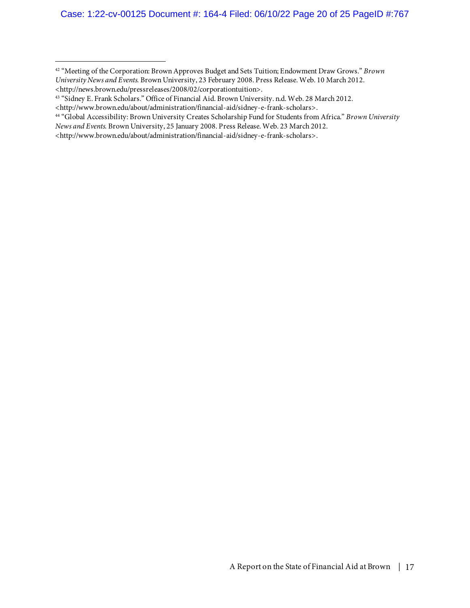#### Case: 1:22-cv-00125 Document #: 164-4 Filed: 06/10/22 Page 20 of 25 PageID #:767

<sup>42</sup> "Meeting of the Corporation: Brown Approves Budget and Sets Tuition; Endowment Draw Grows." *Brown University News and Events.* Brown University, 23 February 2008. Press Release. Web. 10 March 2012. <http://news.brown.edu/pressreleases/2008/02/corporationtuition>.

<sup>43</sup> "Sidney E. Frank Scholars." Office of Financial Aid. Brown University. n.d. Web. 28 March 2012.

<sup>44</sup> "Global Accessibility: Brown University Creates Scholarship Fund for Students from Africa." *Brown University News and Events.* Brown University, 25 January 2008. Press Release. Web. 23 March 2012.

<sup>&</sup>lt;http://www.brown.edu/about/administration/financial-aid/sidney-e-frank-scholars>.

<sup>&</sup>lt;http://www.brown.edu/about/administration/financial-aid/sidney-e-frank-scholars>.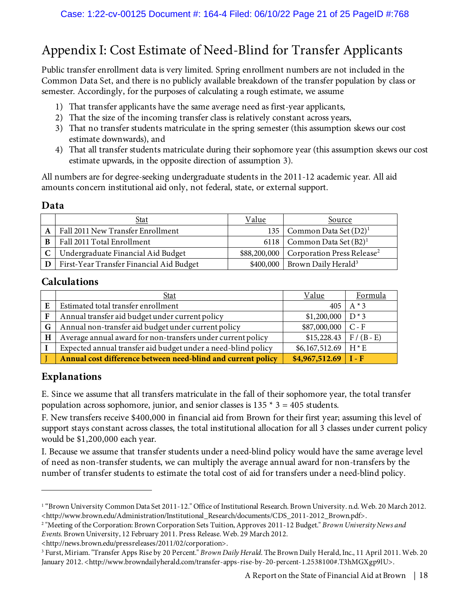# Appendix I: Cost Estimate of Need-Blind for Transfer Applicants

Public transfer enrollment data is very limited. Spring enrollment numbers are not included in the Common Data Set, and there is no publicly available breakdown of the transfer population by class or semester. Accordingly, for the purposes of calculating a rough estimate, we assume

- 1) That transfer applicants have the same average need as first-year applicants,
- 2) That the size of the incoming transfer class is relatively constant across years,
- 3) That no transfer students matriculate in the spring semester (this assumption skews our cost estimate downwards), and
- 4) That all transfer students matriculate during their sophomore year (this assumption skews our cost estimate upwards, in the opposite direction of assumption 3).

All numbers are for degree-seeking undergraduate students in the 2011-12 academic year. All aid amounts concern institutional aid only, not federal, state, or external support.

## **Data**

|   | Stat                                     | Value | Source                                                |
|---|------------------------------------------|-------|-------------------------------------------------------|
|   | Fall 2011 New Transfer Enrollment        |       | 135   Common Data Set $(D2)^1$                        |
| B | Fall 2011 Total Enrollment               |       | 6118   Common Data Set $(B2)^1$                       |
|   | Undergraduate Financial Aid Budget       |       | \$88,200,000   Corporation Press Release <sup>2</sup> |
|   | First-Year Transfer Financial Aid Budget |       | $$400,000$ Brown Daily Herald <sup>3</sup>            |

## **Calculations**

|              | <u>Stat</u>                                                   | Value                         | Formula      |
|--------------|---------------------------------------------------------------|-------------------------------|--------------|
| E            | Estimated total transfer enrollment                           | 405                           | $A \times 3$ |
| $\mathbf{F}$ | Annual transfer aid budget under current policy               | $$1,200,000$ D <sup>*</sup> 3 |              |
| G            | Annual non-transfer aid budget under current policy           | $$87,000,000$ C - F           |              |
| H            | Average annual award for non-transfers under current policy   | $$15,228.43$ F / (B - E)      |              |
|              | Expected annual transfer aid budget under a need-blind policy | \$6,167,512.69                | $H*E$        |
|              | Annual cost difference between need-blind and current policy  | $$4,967,512.69$ I - F         |              |

# **Explanations**

E. Since we assume that all transfers matriculate in the fall of their sophomore year, the total transfer population across sophomore, junior, and senior classes is  $135 * 3 = 405$  students.

F. New transfers receive \$400,000 in financial aid from Brown for their first year; assuming this level of support stays constant across classes, the total institutional allocation for all 3 classes under current policy would be \$1,200,000 each year.

I. Because we assume that transfer students under a need-blind policy would have the same average level of need as non-transfer students, we can multiply the average annual award for non-transfers by the number of transfer students to estimate the total cost of aid for transfers under a need-blind policy.

<http://news.brown.edu/pressreleases/2011/02/corporation>.

<sup>1</sup> "Brown University Common Data Set 2011-12." Office of Institutional Research. Brown University. n.d. Web. 20 March 2012. <http://www.brown.edu/Administration/Institutional\_Research/documents/CDS\_2011-2012\_Brown.pdf>.

<sup>2</sup> "Meeting of the Corporation: Brown Corporation Sets Tuition, Approves 2011-12 Budget." *Brown University News and Events.* Brown University, 12 February 2011. Press Release. Web. 29 March 2012.

<sup>3</sup> Furst, Miriam. "Transfer Apps Rise by 20 Percent." *Brown Daily Herald*. The Brown Daily Herald, Inc., 11 April 2011. Web. 20 January 2012. <http://www.browndailyherald.com/transfer-apps-rise-by-20-percent-1.2538100#.T3hMGXgp9lU>.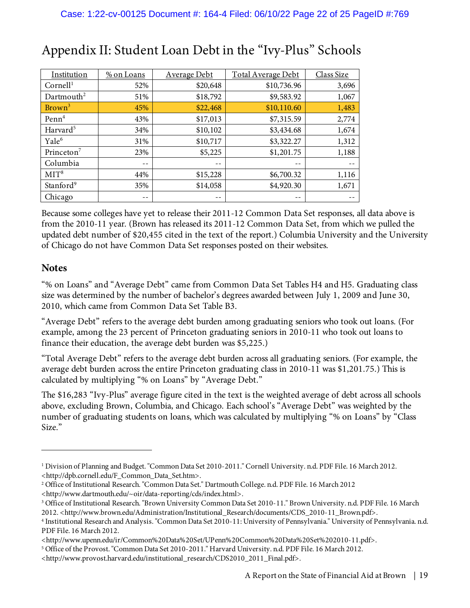| Institution            | % on Loans | <b>Average Debt</b> | <b>Total Average Debt</b> | Class Size |
|------------------------|------------|---------------------|---------------------------|------------|
| Cornell <sup>1</sup>   | 52%        | \$20,648            | \$10,736.96               | 3,696      |
| Dartmouth <sup>2</sup> | 51%        | \$18,792            | \$9,583.92                | 1,067      |
| Brown <sup>3</sup>     | 45%        | \$22,468            | \$10,110.60               | 1,483      |
| Penn <sup>4</sup>      | 43%        | \$17,013            | \$7,315.59                | 2,774      |
| Harvard <sup>5</sup>   | 34%        | \$10,102            | \$3,434.68                | 1,674      |
| Yale <sup>6</sup>      | 31%        | \$10,717            | \$3,322.27                | 1,312      |
| Princeton <sup>7</sup> | 23%        | \$5,225             | \$1,201.75                | 1,188      |
| Columbia               | $- -$      | $- -$               | --                        |            |
| MIT <sup>8</sup>       | 44%        | \$15,228            | \$6,700.32                | 1,116      |
| Stanford <sup>9</sup>  | 35%        | \$14,058            | \$4,920.30                | 1,671      |
| Chicago                | $- -$      | --                  | --                        |            |

# Appendix II: Student Loan Debt in the "Ivy-Plus" Schools

Because some colleges have yet to release their 2011-12 Common Data Set responses, all data above is from the 2010-11 year. (Brown has released its 2011-12 Common Data Set, from which we pulled the updated debt number of \$20,455 cited in the text of the report.) Columbia University and the University of Chicago do not have Common Data Set responses posted on their websites.

## **Notes**

"% on Loans" and "Average Debt" came from Common Data Set Tables H4 and H5. Graduating class size was determined by the number of bachelor's degrees awarded between July 1, 2009 and June 30, 2010, which came from Common Data Set Table B3.

"Average Debt" refers to the average debt burden among graduating seniors who took out loans. (For example, among the 23 percent of Princeton graduating seniors in 2010-11 who took out loans to finance their education, the average debt burden was \$5,225.)

"Total Average Debt" refers to the average debt burden across all graduating seniors. (For example, the average debt burden across the entire Princeton graduating class in 2010-11 was \$1,201.75.) This is calculated by multiplying "% on Loans" by "Average Debt."

The \$16,283 "Ivy-Plus" average figure cited in the text is the weighted average of debt across all schools above, excluding Brown, Columbia, and Chicago. Each school's "Average Debt" was weighted by the number of graduating students on loans, which was calculated by multiplying "% on Loans" by "Class Size."

<sup>1</sup> Division of Planning and Budget. "Common Data Set 2010-2011." Cornell University. n.d. PDF File. 16 March 2012. <http://dpb.cornell.edu/F\_Common\_Data\_Set.htm>.

<sup>2</sup>Office of Institutional Research. "Common Data Set." Dartmouth College. n.d. PDF File. 16 March 2012

<sup>&</sup>lt;http://www.dartmouth.edu/~oir/data-reporting/cds/index.html>.

<sup>3</sup>Office of Institutional Research. "Brown University Common Data Set 2010-11." Brown University. n.d. PDF File. 16 March 2012. <http://www.brown.edu/Administration/Institutional\_Research/documents/CDS\_2010-11\_Brown.pdf>.

<sup>4</sup> Institutional Research and Analysis. "Common Data Set 2010-11: University of Pennsylvania." University of Pennsylvania. n.d. PDF File. 16 March 2012.

<sup>&</sup>lt;http://www.upenn.edu/ir/Common%20Data%20Set/UPenn%20Common%20Data%20Set%202010-11.pdf>.

<sup>5</sup>Office of the Provost. "Common Data Set 2010-2011." Harvard University. n.d. PDF File. 16 March 2012.

<sup>&</sup>lt;http://www.provost.harvard.edu/institutional\_research/CDS2010\_2011\_Final.pdf>.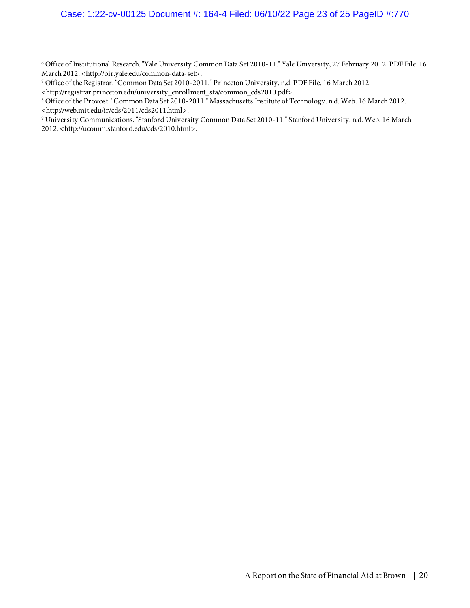<sup>6</sup> Office of Institutional Research. "Yale University Common Data Set 2010-11." Yale University, 27 February 2012. PDF File. 16 March 2012. < http://oir.yale.edu/common-data-set>.

<sup>7</sup> Office of the Registrar. "Common Data Set 2010-2011." Princeton University. n.d. PDF File. 16 March 2012.

<sup>&</sup>lt;http://registrar.princeton.edu/university\_enrollment\_sta/common\_cds2010.pdf>.

<sup>8</sup> Office of the Provost. "Common Data Set 2010-2011." Massachusetts Institute of Technology. n.d. Web. 16 March 2012. <http://web.mit.edu/ir/cds/2011/cds2011.html>.

<sup>9</sup> University Communications. "Stanford University Common Data Set 2010-11." Stanford University. n.d. Web. 16 March 2012. <http://ucomm.stanford.edu/cds/2010.html>.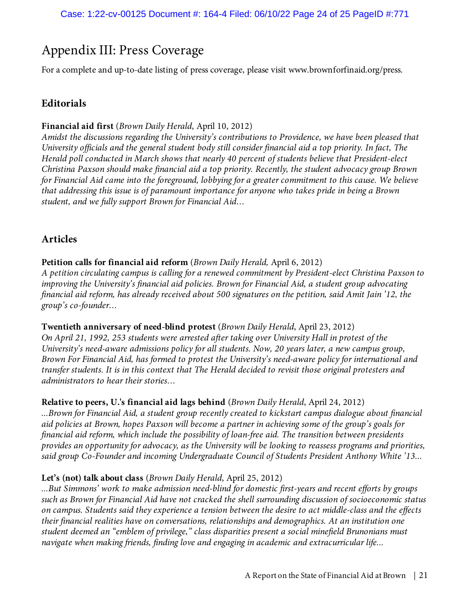# Appendix III: Press Coverage

For a complete and up-to-date listing of press coverage, please visit www.brownforfinaid.org/press.

# **Editorials**

#### **Financial aid first** (*Brown Daily Herald*, April 10, 2012)

*Amidst the discussions regarding the University's contributions to Providence, we have been pleased that University officials and the general student body still consider financial aid a top priority. In fact, The Herald poll conducted in March shows that nearly 40 percent of students believe that President-elect Christina Paxson should make financial aid a top priority. Recently, the student advocacy group Brown for Financial Aid came into the foreground, lobbying for a greater commitment to this cause. We believe that addressing this issue is of paramount importance for anyone who takes pride in being a Brown student, and we fully support Brown for Financial Aid…*

# **Articles**

**Petition calls for financial aid reform** (*Brown Daily Herald,* April 6, 2012) *A petition circulating campus is calling for a renewed commitment by President-elect Christina Paxson to improving the University's financial aid policies. Brown for Financial Aid, a student group advocating financial aid reform, has already received about 500 signatures on the petition, said Amit Jain '12, the group's co-founder…*

**Twentieth anniversary of need-blind protest** (*Brown Daily Herald*, April 23, 2012) *On April 21, 1992, 253 students were arrested after taking over University Hall in protest of the University's need-aware admissions policy for all students. Now, 20 years later, a new campus group, Brown For Financial Aid, has formed to protest the University's need-aware policy for international and transfer students. It is in this context that The Herald decided to revisit those original protesters and administrators to hear their stories…*

**Relative to peers, U.'s financial aid lags behind** (*Brown Daily Herald*, April 24, 2012) *...Brown for Financial Aid, a student group recently created to kickstart campus dialogue about financial aid policies at Brown, hopes Paxson will become a partner in achieving some of the group's goals for financial aid reform, which include the possibility of loan-free aid. The transition between presidents provides an opportunity for advocacy, as the University will be looking to reassess programs and priorities, said group Co-Founder and incoming Undergraduate Council of Students President Anthony White '13...*

#### **Let's (not) talk about class** (*Brown Daily Herald*, April 25, 2012)

*...But Simmons' work to make admission need-blind for domestic first-years and recent efforts by groups such as Brown for Financial Aid have not cracked the shell surrounding discussion of socioeconomic status on campus. Students said they experience a tension between the desire to act middle-class and the effects their financial realities have on conversations, relationships and demographics. At an institution one student deemed an "emblem of privilege," class disparities present a social minefield Brunonians must navigate when making friends, finding love and engaging in academic and extracurricular life...*